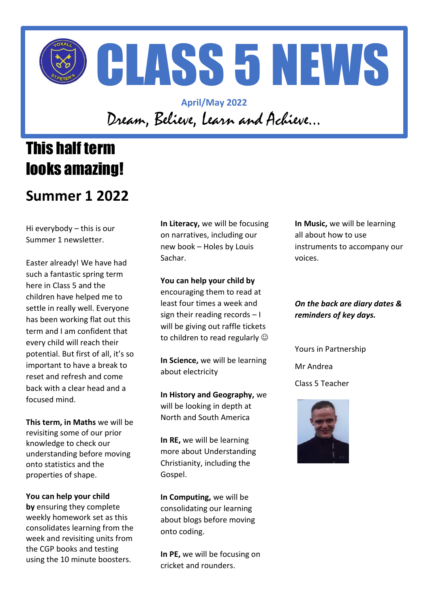

### **April/May 2022** Dream, Believe, Learn and Achieve…

# This half term looks amazing!

## **Summer 1 2022**

Hi everybody – this is our Summer 1 newsletter.

Easter already! We have had such a fantastic spring term here in Class 5 and the children have helped me to settle in really well. Everyone has been working flat out this term and I am confident that every child will reach their potential. But first of all, it's so important to have a break to reset and refresh and come back with a clear head and a focused mind.

**This term, in Maths** we will be revisiting some of our prior knowledge to check our understanding before moving onto statistics and the properties of shape.

**You can help your child by** ensuring they complete weekly homework set as this consolidates learning from the week and revisiting units from the CGP books and testing using the 10 minute boosters.

**In Literacy,** we will be focusing on narratives, including our new book – Holes by Louis Sachar.

#### **You can help your child by**

encouraging them to read at least four times a week and sign their reading records – I will be giving out raffle tickets to children to read regularly  $\odot$ 

**In Science,** we will be learning about electricity

**In History and Geography,** we will be looking in depth at North and South America

**In RE,** we will be learning more about Understanding Christianity, including the Gospel.

**In Computing,** we will be consolidating our learning about blogs before moving onto coding.

**In PE,** we will be focusing on cricket and rounders.

**In Music,** we will be learning all about how to use instruments to accompany our voices.

#### *On the back are diary dates & reminders of key days.*

Yours in Partnership

Mr Andrea

Class 5 Teacher